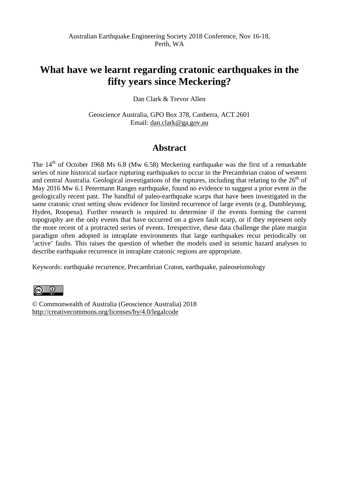# **What have we learnt regarding cratonic earthquakes in the fifty years since Meckering?**

Dan Clark & Trevor Allen

Geoscience Australia, GPO Box 378, Canberra, ACT 2601 Email: [dan.clark@ga.gov.au](mailto:dan.clark@ga.gov.au)

## **Abstract**

The 14<sup>th</sup> of October 1968 Ms 6.8 (Mw 6.58) Meckering earthquake was the first of a remarkable series of nine historical surface rupturing earthquakes to occur in the Precambrian craton of western and central Australia. Geological investigations of the ruptures, including that relating to the  $26<sup>th</sup>$  of May 2016 Mw 6.1 Petermann Ranges earthquake, found no evidence to suggest a prior event in the geologically recent past. The handful of paleo-earthquake scarps that have been investigated in the same cratonic crust setting show evidence for limited recurrence of large events (e.g. Dumbleyung, Hyden, Roopena). Further research is required to determine if the events forming the current topography are the only events that have occurred on a given fault scarp, or if they represent only the more recent of a protracted series of events. Irrespective, these data challenge the plate margin paradigm often adopted in intraplate environments that large earthquakes recur periodically on 'active' faults. This raises the question of whether the models used in seismic hazard analyses to describe earthquake recurrence in intraplate cratonic regions are appropriate.

Keywords: earthquake recurrence, Precambrian Craton, earthquake, paleoseismology



© Commonwealth of Australia (Geoscience Australia) 2018 <http://creativecommons.org/licenses/by/4.0/legalcode>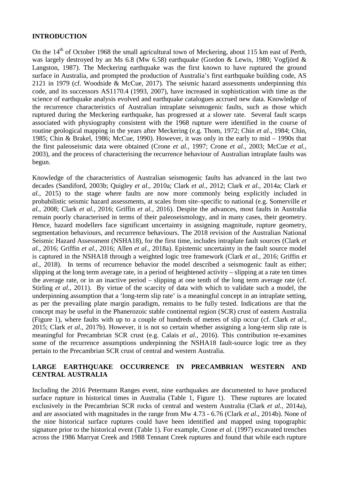#### **INTRODUCTION**

On the 14<sup>th</sup> of October 1968 the small agricultural town of Meckering, about 115 km east of Perth, was largely destroyed by an Ms 6.8 (Mw 6.58) earthquake [\(Gordon & Lewis, 1980;](#page-11-0) [Vogfjörd &](#page-12-0)  [Langston, 1987\)](#page-12-0). The Meckering earthquake was the first known to have ruptured the ground surface in Australia, and prompted the production of Australia's first earthquake building code, AS 2121 in 1979 [\(cf. Woodside & McCue, 2017\)](#page-13-0). The seismic hazard assessments underpinning this code, and its successors AS1170.4 (1993, 2007), have increased in sophistication with time as the science of earthquake analysis evolved and earthquake catalogues accrued new data. Knowledge of the recurrence characteristics of Australian intraplate seismogenic faults, such as those which ruptured during the Meckering earthquake, has progressed at a slower rate. Several fault scarps associated with physiography consistent with the 1968 rupture were identified in the course of routine geological mapping in the years after Meckering (e.g. [Thom, 1972;](#page-12-1) Chin *et al.*[, 1984;](#page-9-0) [Chin,](#page-9-1)  [1985;](#page-9-1) [Chin & Brakel, 1986;](#page-9-2) [McCue, 1990\)](#page-12-2). However, it was only in the early to mid – 1990s that the first paleoseismic data were obtained (Crone *et al.*[, 1997;](#page-10-0) Crone *et al.*[, 2003;](#page-10-1) [McCue](#page-12-3) *et al.*, [2003\)](#page-12-3), and the process of characterising the recurrence behaviour of Australian intraplate faults was begun.

Knowledge of the characteristics of Australian seismogenic faults has advanced in the last two decades [\(Sandiford, 2003b;](#page-12-4) [Quigley](#page-12-5) *et al.*, 2010a; Clark *et al.*[, 2012;](#page-10-2) Clark *et al.*[, 2014a;](#page-9-3) [Clark](#page-10-3) *et al.*[, 2015\)](#page-10-3) to the stage where faults are now more commonly being explicitly included in probabilistic seismic hazard assessments, at scales from site–specific to national (e.g. [Somerville](#page-12-6) *et al.*[, 2008;](#page-12-6) Clark *et al.*[, 2016;](#page-9-4) [Griffin](#page-11-1) *et al.*, 2016). Despite the advances, most faults in Australia remain poorly characterised in terms of their paleoseismology, and in many cases, their geometry. Hence, hazard modellers face significant uncertainty in assigning magnitude, rupture geometry, segmentation behaviours, and recurrence behaviours. The 2018 revision of the Australian National Seismic Hazard Assessment (NSHA18), for the first time, includes intraplate fault sources [\(Clark](#page-9-4) *et al.*[, 2016;](#page-9-4) [Griffin](#page-11-1) *et al.*, 2016; Allen *et al.*[, 2018a\)](#page-9-5). Epistemic uncertainty in the fault source model is captured in the NSHA18 through a weighted logic tree framework (Clark *et al.*[, 2016;](#page-9-4) [Griffin](#page-11-2) *et al.*[, 2018\)](#page-11-2). In terms of recurrence behavior the model described a seismogenic fault as either; slipping at the long term average rate, in a period of heightened activity – slipping at a rate ten times the average rate, or in an inactive period – slipping at one tenth of the long term average rate [\(cf.](#page-12-7)  [Stirling](#page-12-7) *et al.*, 2011). By virtue of the scarcity of data with which to validate such a model, the underpinning assumption that a 'long-term slip rate' is a meaningful concept in an intraplate setting, as per the prevailing plate margin paradigm, remains to be fully tested. Indications are that the concept may be useful in the Phanerozoic stable continental region (SCR) crust of eastern Australia (Figure 1), where faults with up to a couple of hundreds of metres of slip occur (cf. [Clark](#page-10-3) *et al.*, [2015;](#page-10-3) Clark *et al.*[, 2017b\)](#page-10-4). However, it is not so certain whether assigning a long-term slip rate is meaningful for Precambrian SCR crust [\(e.g. Calais](#page-9-6) *et al.*, 2016). This contribution re-examines some of the recurrence assumptions underpinning the NSHA18 fault-source logic tree as they pertain to the Precambrian SCR crust of central and western Australia.

#### **LARGE EARTHQUAKE OCCURRENCE IN PRECAMBRIAN WESTERN AND CENTRAL AUSTRALIA**

Including the 2016 Petermann Ranges event, nine earthquakes are documented to have produced surface rupture in historical times in Australia (Table 1, Figure 1). These ruptures are located exclusively in the Precambrian SCR rocks of central and western Australia (Clark *et al.*[, 2014a\)](#page-9-3), and are associated with magnitudes in the range from Mw 4.73 - 6.76 (Clark *et al.*[, 2014b\)](#page-9-7). None of the nine historical surface ruptures could have been identified and mapped using topographic signature prior to the historical event (Table 1). For example, Crone *et al.* [\(1997\)](#page-10-0) excavated trenches across the 1986 Marryat Creek and 1988 Tennant Creek ruptures and found that while each rupture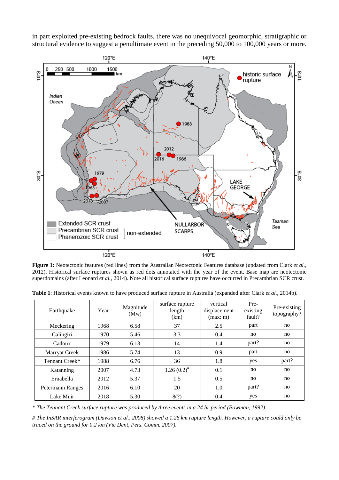in part exploited pre-existing bedrock faults, there was no unequivocal geomorphic, stratigraphic or structural evidence to suggest a penultimate event in the preceding 50,000 to 100,000 years or more.



**Figure 1:** Neotectonic features (red lines) from the Australian Neotectonic Features database [\(updated from Clark](#page-10-2) *et al.*, [2012\)](#page-10-2). Historical surface ruptures shown as red dots annotated with the year of the event. Base map are neotectonic superdomains [\(after Leonard](#page-11-3) *et al.*, 2014). Note all historical surface ruptures have occurred in Precambrian SCR crust.

**Table 1**: Historical events known to have produced surface rupture in Australia [\(expanded after Clark](#page-9-7) *et al.*, 2014b).

| Earthquake       | Year | Magnitude<br>(Mw) | surface rupture<br>length<br>(km) | vertical<br>displacement<br>(max: m) | Pre-<br>existing<br>fault? | Pre-existing<br>topography? |
|------------------|------|-------------------|-----------------------------------|--------------------------------------|----------------------------|-----------------------------|
| Meckering        | 1968 | 6.58              | 37                                | 2.5                                  | part                       | no                          |
| Calingiri        | 1970 | 5.46              | 3.3                               | 0.4                                  | no                         | no                          |
| Cadoux           | 1979 | 6.13              | 14                                | 1.4                                  | part?                      | no                          |
| Marryat Creek    | 1986 | 5.74              | 13                                | 0.9                                  | part                       | no                          |
| Tennant Creek*   | 1988 | 6.76              | 36                                | 1.8                                  | yes                        | part?                       |
| Katanning        | 2007 | 4.73              | $1.26(0.2)^{#}$                   | 0.1                                  | no                         | no                          |
| Ernabella        | 2012 | 5.37              | 1.5                               | 0.5                                  | no                         | no                          |
| Petermann Ranges | 2016 | 6.10              | 20                                | 1.0                                  | part?                      | no                          |
| Lake Muir        | 2018 | 5.30              | 8(?)                              | 0.4                                  | yes                        | no                          |

*\* The Tennant Creek surface rupture was produced by three events in a 24 hr period [\(Bowman, 1992\)](#page-9-8)*

*# The InSAR interferogram [\(Dawson et al., 2008\)](#page-10-5) showed a 1.26 km rupture length. However, a rupture could only be traced on the ground for 0.2 km (Vic Dent, Pers. Comm. 2007).*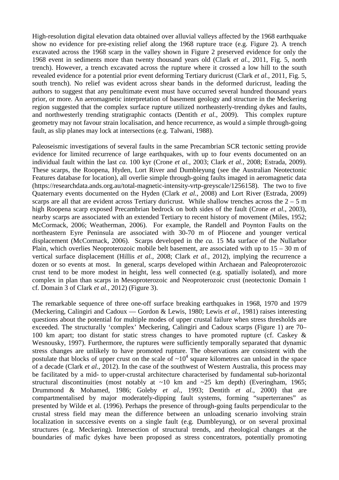High-resolution digital elevation data obtained over alluvial valleys affected by the 1968 earthquake show no evidence for pre-existing relief along the 1968 rupture trace (e.g. Figure 2). A trench excavated across the 1968 scarp in the valley shown in Figure 2 preserved evidence for only the 1968 event in sediments more than twenty thousand years old (Clark *et al.*[, 2011, Fig. 5, north](#page-10-6)  [trench\)](#page-10-6). However, a trench excavated across the rupture where it crossed a low hill to the south revealed evidence for a potential prior event deforming Tertiary duricrust (Clark *et al.*[, 2011, Fig. 5,](#page-10-6)  [south trench\)](#page-10-6). No relief was evident across shear bands in the deformed duricrust, leading the authors to suggest that any penultimate event must have occurred several hundred thousand years prior, or more. An aeromagnetic interpretation of basement geology and structure in the Meckering region suggested that the complex surface rupture utilized northeasterly-trending dykes and faults, and northwesterly trending stratigraphic contacts [\(Dentith](#page-10-7) *et al.*, 2009). This complex rupture geometry may not favour strain localisation, and hence recurrence, as would a simple through-going fault, as slip planes may lock at intersections [\(e.g. Talwani, 1988\)](#page-12-8).

Paleoseismic investigations of several faults in the same Precambrian SCR tectonic setting provide evidence for limited recurrence of large earthquakes, with up to four events documented on an individual fault within the last *ca.* 100 kyr (Crone *et al.*[, 2003;](#page-10-1) Clark *et al.*[, 2008;](#page-9-9) [Estrada, 2009\)](#page-10-8). These scarps, the Roopena, Hyden, Lort River and Dumbleyung (see the Australian Neotectonic Features database for location), all overlie simple through-going faults imaged in aeromagnetic data (https://researchdata.ands.org.au/total-magnetic-intensity-vrtp-greyscale/1256158). The two to five Quaternary events documented on the Hyden (Clark *et al.*[, 2008\)](#page-9-9) and Lort River [\(Estrada, 2009\)](#page-10-8) scarps are all that are evident across Tertiary duricrust. While shallow trenches across the  $2 - 5$  m high Roopena scarp exposed Precambrian bedrock on both sides of the fault (Crone *et al.*[, 2003\)](#page-10-1), nearby scarps are associated with an extended Tertiary to recent history of movement [\(Miles, 1952;](#page-12-9) [McCormack, 2006;](#page-12-10) [Weatherman, 2006\)](#page-12-11). For example, the Randell and Poynton Faults on the northeastern Eyre Peninsula are associated with 30-70 m of Pliocene and younger vertical displacement [\(McCormack, 2006\)](#page-12-10). Scarps developed in the *ca.* 15 Ma surface of the Nullarbor Plain, which overlies Neoproterozoic mobile belt basement, are associated with up to  $15 - 30$  m of vertical surface displacement (Hillis *et al.*[, 2008;](#page-11-4) Clark *et al.*[, 2012\)](#page-10-2), implying the recurrence a dozen or so events at most. In general, scarps developed within Archaean and Paleoproterozoic crust tend to be more modest in height, less well connected (e.g. spatially isolated), and more complex in plan than scarps in Mesoproterozoic and Neoproterozoic crust [\(neotectonic Domain 1](#page-10-2)  [cf. Domain 3 of Clark](#page-10-2) *et al.*, 2012) (Figure 3).

The remarkable sequence of three one-off surface breaking earthquakes in 1968, 1970 and 1979 (Meckering, Calingiri and Cadoux — [Gordon & Lewis, 1980;](#page-11-0) Lewis *et al.*[, 1981\)](#page-11-5) raises interesting questions about the potential for multiple modes of upper crustal failure when stress thresholds are exceeded. The structurally 'complex' Meckering, Calingiri and Cadoux scarps (Figure 1) are 70– 100 km apart; too distant for static stress changes to have promoted rupture [\(cf. Caskey &](#page-9-10)  [Wesnousky, 1997\)](#page-9-10). Furthermore, the ruptures were sufficiently temporally separated that dynamic stress changes are unlikely to have promoted rupture. The observations are consistent with the postulate that blocks of upper crust on the scale of  $\sim 10^4$  square kilometres can unload in the space of a decade (Clark *et al.*[, 2012\)](#page-10-2). In the case of the southwest of Western Australia, this process may be facilitated by a mid- to upper-crustal architecture characterised by fundamental sub-horizontal structural discontinuities (most notably at  $~10$  km and  $~25$  km depth) [\(Everingham, 1965;](#page-10-9) [Drummond & Mohamed, 1986;](#page-10-10) Goleby *et al.*[, 1993;](#page-11-6) Dentith *et al.*[, 2000\)](#page-10-11) that are compartmentalised by major moderately-dipping fault systems, forming "superterranes" as presented by Wilde et al. [\(1996\)](#page-13-1). Perhaps the presence of through-going faults perpendicular to the crustal stress field may mean the difference between an unloading scenario involving strain localization in successive events on a single fault (e.g. Dumbleyung), or on several proximal structures (e.g. Meckering). Intersection of structural trends, and rheological changes at the boundaries of mafic dykes have been proposed as stress concentrators, potentially promoting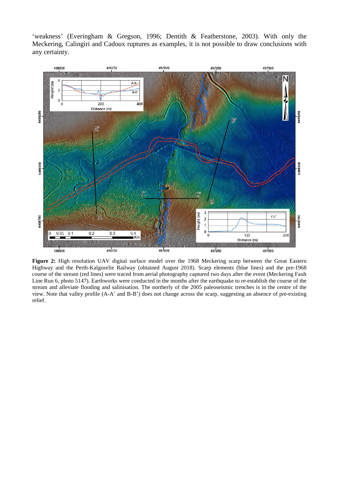'weakness' [\(Everingham & Gregson, 1996;](#page-10-12) [Dentith & Featherstone, 2003\)](#page-10-13). With only the Meckering, Calingiri and Cadoux ruptures as examples, it is not possible to draw conclusions with any certainty.



**Figure 2:** High resolution UAV digital surface model over the 1968 Meckering scarp between the Great Eastern Highway and the Perth-Kalgoorlie Railway (obtained August 2018). Scarp elements (blue lines) and the pre-1968 course of the stream (red lines) were traced from aerial photography captured two days after the event (Meckering Fault Line Run 6, photo 5147). Earthworks were conducted in the months after the earthquake to re-establish the course of the stream and alleviate flooding and salinisation. The northerly of the 2005 paleoseismic trenches is in the centre of the view. Note that valley profile (A-A' and B-B') does not change across the scarp, suggesting an absence of pre-existing relief.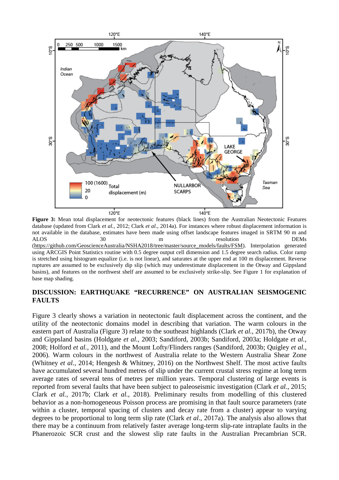

**Figure 3:** Mean total displacement for neotectonic features (black lines) from the Australian Neotectonic Features database (updated from Clark *et al.*[, 2012;](#page-10-2) Clark *et al.*[, 2014a\)](#page-9-3). For instances where robust displacement information is not available in the database, estimates have been made using offset landscape features imaged in SRTM 90 m and ALOS 30 m resolution DEMs [\(https://github.com/GeoscienceAustralia/NSHA2018/tree/master/source\\_models/faults/FSM\)](https://github.com/GeoscienceAustralia/NSHA2018/tree/master/source_models/faults/FSM). Interpolation generated using ARCGIS Point Statistics routine with 0.5 degree output cell dimension and 1.5 degree search radius. Color ramp is stretched using histogram equalize (i.e. is not linear), and saturates at the upper end at 100 m displacement. Reverse ruptures are assumed to be exclusively dip slip (which may underestimate displacement in the Otway and Gippsland basins), and features on the northwest shelf are assumed to be exclusively strike-slip. See Figure 1 for explanation of base map shading.

#### **DISCUSSION: EARTHQUAKE "RECURRENCE" ON AUSTRALIAN SEISMOGENIC FAULTS**

Figure 3 clearly shows a variation in neotectonic fault displacement across the continent, and the utility of the neotectonic domains model in describing that variation. The warm colours in the eastern part of Australia (Figure 3) relate to the southeast highlands (Clark *et al.*[, 2017b\)](#page-10-4), the Otway and Gippsland basins [\(Holdgate](#page-11-7) *et al.*, 2003; [Sandiford, 2003b;](#page-12-4) [Sandiford, 2003a;](#page-12-12) [Holdgate](#page-11-8) *et al.*, [2008;](#page-11-8) [Holford](#page-11-9) *et al.*, 2011), and the Mount Lofty/Flinders ranges [\(Sandiford, 2003b;](#page-12-4) [Quigley](#page-12-13) *et al.*, [2006\)](#page-12-13). Warm colours in the northwest of Australia relate to the Western Australia Shear Zone [\(Whitney](#page-13-2) *et al.*, 2014; [Hengesh & Whitney, 2016\)](#page-11-10) on the Northwest Shelf. The most active faults have accumulated several hundred metres of slip under the current crustal stress regime at long term average rates of several tens of metres per million years. Temporal clustering of large events is reported from several faults that have been subject to paleoseismic investigation (Clark *et al.*[, 2015;](#page-10-3) Clark *et al.*[, 2017b;](#page-10-4) Clark *et al.*[, 2018\)](#page-10-14). Preliminary results from modelling of this clustered behavior as a non-homogeneous Poisson process are promising in that fault source parameters (rate within a cluster, temporal spacing of clusters and decay rate from a cluster) appear to varying degrees to be proportional to long term slip rate (Clark *et al.*[, 2017a\)](#page-9-11). The analysis also allows that there may be a continuum from relatively faster average long-term slip-rate intraplate faults in the Phanerozoic SCR crust and the slowest slip rate faults in the Australian Precambrian SCR.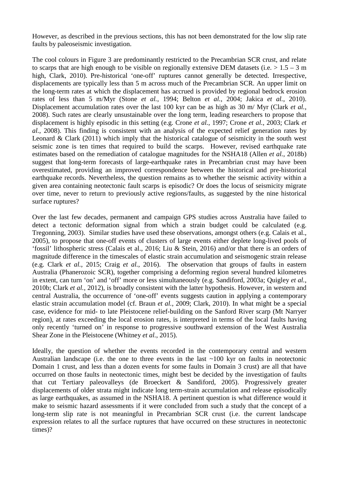However, as described in the previous sections, this has not been demonstrated for the low slip rate faults by paleoseismic investigation.

The cool colours in Figure 3 are predominantly restricted to the Precambrian SCR crust, and relate to scarps that are high enough to be visible on regionally extensive DEM datasets (i.e.  $> 1.5 - 3$  m [high, Clark, 2010\)](#page-9-12). Pre-historical 'one-off' ruptures cannot generally be detected. Irrespective, displacements are typically less than 5 m across much of the Precambrian SCR. An upper limit on the long-term rates at which the displacement has accrued is provided by regional bedrock erosion rates of less than 5 m/Myr (Stone *et al.*[, 1994;](#page-12-14) Belton *et al.*[, 2004;](#page-9-13) Jakica *et al.*[, 2010\)](#page-11-11). Displacement accumulation rates over the last 100 kyr can be as high as 30 m/ Myr [\(Clark](#page-9-9) *et al.*, [2008\)](#page-9-9). Such rates are clearly unsustainable over the long term, leading researchers to propose that displacement is highly episodic in this setting (e.g. Crone *et al.*[, 1997;](#page-10-0) Crone *et al.*[, 2003;](#page-10-1) [Clark](#page-9-9) *et al.*[, 2008\)](#page-9-9). This finding is consistent with an analysis of the expected relief generation rates by Leonard & Clark [\(2011\)](#page-11-12) which imply that the historical catalogue of seismicity in the south west seismic zone is ten times that required to build the scarps. However, revised earthquake rate estimates based on the remediation of catalogue magnitudes for the NSHA18 (Allen *et al.*[, 2018b\)](#page-9-14) suggest that long-term forecasts of large-earthquake rates in Precambrian crust may have been overestimated, providing an improved correspondence between the historical and pre-historical earthquake records. Nevertheless, the question remains as to whether the seismic activity within a given area containing neotectonic fault scarps is episodic? Or does the locus of seismicity migrate over time, never to return to previously active regions/faults, as suggested by the nine historical surface ruptures?

Over the last few decades, permanent and campaign GPS studies across Australia have failed to detect a tectonic deformation signal from which a strain budget could be calculated [\(e.g.](#page-12-15)  [Tregonning, 2003\)](#page-12-15). Similar studies have used these observations, amongst others [\(e.g. Calais et al.,](#page-9-15)  [2005\)](#page-9-15), to propose that one-off events of clusters of large events either deplete long-lived pools of 'fossil' lithospheric stress [\(Calais et al., 2016;](#page-9-6) [Liu & Stein, 2016\)](#page-11-13) and/or that there is an orders of magnitude difference in the timescales of elastic strain accumulation and seismogenic strain release (e.g. Clark *et al.*[, 2015;](#page-10-3) Craig *et al.*[, 2016\)](#page-10-15). The observation that groups of faults in eastern Australia (Phanerozoic SCR), together comprising a deforming region several hundred kilometres in extent, can turn 'on' and 'off' more or less simultaneously (e.g. [Sandiford, 2003a;](#page-12-12) [Quigley](#page-12-16) *et al.*, [2010b;](#page-12-16) Clark *et al.*[, 2012\)](#page-10-2), is broadly consistent with the latter hypothesis. However, in western and central Australia, the occurrence of 'one-off' events suggests caution in applying a contemporary elastic strain accumulation model (cf. Braun *et al.*[, 2009;](#page-9-16) [Clark, 2010\)](#page-9-12). In what might be a special case, evidence for mid- to late Pleistocene relief-building on the Sanford River scarp (Mt Narryer region), at rates exceeding the local erosion rates, is interpreted in terms of the local faults having only recently 'turned on' in response to progressive southward extension of the West Australia Shear Zone in the Pleistocene [\(Whitney](#page-12-17) *et al.*, 2015).

Ideally, the question of whether the events recorded in the contemporary central and western Australian landscape (i.e. the one to three events in the last  $\sim 100$  kyr on faults in neotectonic Domain 1 crust, and less than a dozen events for some faults in Domain 3 crust) are all that have occurred on those faults in neotectonic times, might best be decided by the investigation of faults that cut Tertiary paleovalleys [\(de Broeckert & Sandiford, 2005\)](#page-10-16). Progressively greater displacements of older strata might indicate long term-strain accumulation and release episodically as large earthquakes, as assumed in the NSHA18. A pertinent question is what difference would it make to seismic hazard assessments if it were concluded from such a study that the concept of a long-term slip rate is not meaningful in Precambrian SCR crust (i.e. the current landscape expression relates to all the surface ruptures that have occurred on these structures in neotectonic times)?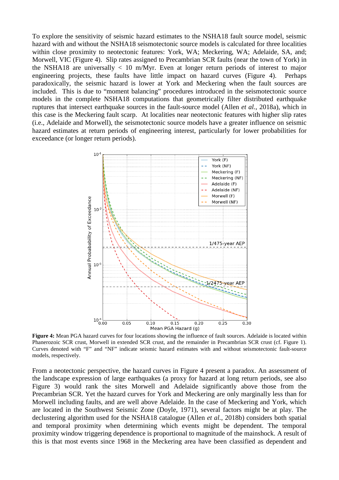To explore the sensitivity of seismic hazard estimates to the NSHA18 fault source model, seismic hazard with and without the NSHA18 seismotectonic source models is calculated for three localities within close proximity to neotectonic features: York, WA; Meckering, WA; Adelaide, SA, and; Morwell, VIC (Figure 4). Slip rates assigned to Precambrian SCR faults (near the town of York) in the NSHA18 are universally  $< 10$  m/Myr. Even at longer return periods of interest to major engineering projects, these faults have little impact on hazard curves (Figure 4). Perhaps paradoxically, the seismic hazard is lower at York and Meckering when the fault sources are included. This is due to "moment balancing" procedures introduced in the seismotectonic source models in the complete NSHA18 computations that geometrically filter distributed earthquake ruptures that intersect earthquake sources in the fault-source model (Allen *et al.*[, 2018a\)](#page-9-5), which in this case is the Meckering fault scarp. At localities near neotectonic features with higher slip rates (i.e., Adelaide and Morwell), the seismotectonic source models have a greater influence on seismic hazard estimates at return periods of engineering interest, particularly for lower probabilities for exceedance (or longer return periods).



**Figure 4:** Mean PGA hazard curves for four locations showing the influence of fault sources. Adelaide is located within Phanerozoic SCR crust, Morwell in extended SCR crust, and the remainder in Precambrian SCR crust (cf. Figure 1). Curves denoted with "F" and "NF" indicate seismic hazard estimates with and without seismotectonic fault-source models, respectively.

From a neotectonic perspective, the hazard curves in Figure 4 present a paradox. An assessment of the landscape expression of large earthquakes (a proxy for hazard at long return periods, see also Figure 3) would rank the sites Morwell and Adelaide significantly above those from the Precambrian SCR. Yet the hazard curves for York and Meckering are only marginally less than for Morwell including faults, and are well above Adelaide. In the case of Meckering and York, which are located in the Southwest Seismic Zone [\(Doyle, 1971\)](#page-10-17), several factors might be at play. The declustering algorithm used for the NSHA18 catalogue (Allen *et al.*[, 2018b\)](#page-9-14) considers both spatial and temporal proximity when determining which events might be dependent. The temporal proximity window triggering dependence is proportional to magnitude of the mainshock. A result of this is that most events since 1968 in the Meckering area have been classified as dependent and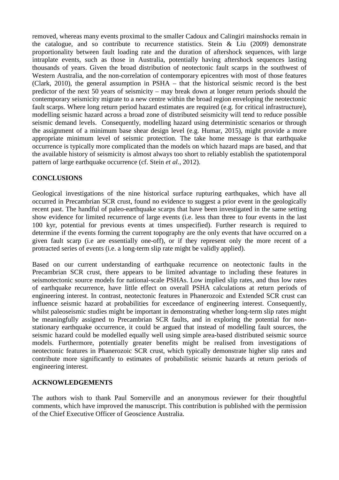removed, whereas many events proximal to the smaller Cadoux and Calingiri mainshocks remain in the catalogue, and so contribute to recurrence statistics. Stein & Liu [\(2009\)](#page-12-18) demonstrate proportionality between fault loading rate and the duration of aftershock sequences, with large intraplate events, such as those in Australia, potentially having aftershock sequences lasting thousands of years. Given the broad distribution of neotectonic fault scarps in the southwest of Western Australia, and the non-correlation of contemporary epicentres with most of those features [\(Clark, 2010\)](#page-9-12), the general assumption in PSHA – that the historical seismic record is the best predictor of the next 50 years of seismicity – may break down at longer return periods should the contemporary seismicity migrate to a new centre within the broad region enveloping the neotectonic fault scarps. Where long return period hazard estimates are required (e.g. for critical infrastructure), modelling seismic hazard across a broad zone of distributed seismicity will tend to reduce possible seismic demand levels. Consequently, modelling hazard using deterministic scenarios or through the assignment of a minimum base shear design level [\(e.g. Humar, 2015\)](#page-11-14), might provide a more appropriate minimum level of seismic protection. The take home message is that earthquake occurrence is typically more complicated than the models on which hazard maps are based, and that the available history of seismicity is almost always too short to reliably establish the spatiotemporal pattern of large earthquake occurrence [\(cf. Stein](#page-12-19) *et al.*, 2012).

### **CONCLUSIONS**

Geological investigations of the nine historical surface rupturing earthquakes, which have all occurred in Precambrian SCR crust, found no evidence to suggest a prior event in the geologically recent past. The handful of paleo-earthquake scarps that have been investigated in the same setting show evidence for limited recurrence of large events (i.e. less than three to four events in the last 100 kyr, potential for previous events at times unspecified). Further research is required to determine if the events forming the current topography are the only events that have occurred on a given fault scarp (i.e are essentially one-off), or if they represent only the more recent of a protracted series of events (i.e. a long-term slip rate might be validly applied).

Based on our current understanding of earthquake recurrence on neotectonic faults in the Precambrian SCR crust, there appears to be limited advantage to including these features in seismotectonic source models for national-scale PSHAs. Low implied slip rates, and thus low rates of earthquake recurrence, have little effect on overall PSHA calculations at return periods of engineering interest. In contrast, neotectonic features in Phanerozoic and Extended SCR crust can influence seismic hazard at probabilities for exceedance of engineering interest. Consequently, whilst paleoseismic studies might be important in demonstrating whether long-term slip rates might be meaningfully assigned to Precambrian SCR faults, and in exploring the potential for nonstationary earthquake occurrence, it could be argued that instead of modelling fault sources, the seismic hazard could be modelled equally well using simple area-based distributed seismic source models. Furthermore, potentially greater benefits might be realised from investigations of neotectonic features in Phanerozoic SCR crust, which typically demonstrate higher slip rates and contribute more significantly to estimates of probabilistic seismic hazards at return periods of engineering interest.

#### **ACKNOWLEDGEMENTS**

The authors wish to thank Paul Somerville and an anonymous reviewer for their thoughtful comments, which have improved the manuscript. This contribution is published with the permission of the Chief Executive Officer of Geoscience Australia.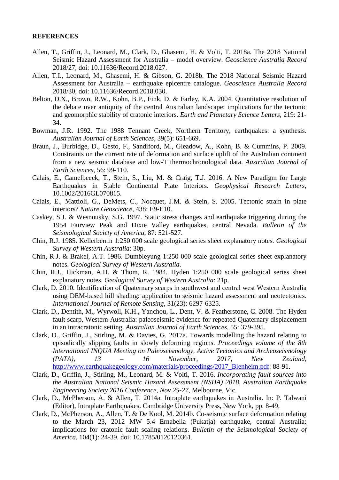#### **REFERENCES**

- <span id="page-9-5"></span>Allen, T., Griffin, J., Leonard, M., Clark, D., Ghasemi, H. & Volti, T. 2018a. The 2018 National Seismic Hazard Assessment for Australia – model overview. *Geoscience Australia Record*  2018/27, doi: 10.11636/Record.2018.027.
- <span id="page-9-14"></span>Allen, T.I., Leonard, M., Ghasemi, H. & Gibson, G. 2018b. The 2018 National Seismic Hazard Assessment for Australia – earthquake epicentre catalogue. *Geoscience Australia Record*  2018/30, doi: 10.11636/Record.2018.030.
- <span id="page-9-13"></span>Belton, D.X., Brown, R.W., Kohn, B.P., Fink, D. & Farley, K.A. 2004. Quantitative resolution of the debate over antiquity of the central Australian landscape: implications for the tectonic and geomorphic stability of cratonic interiors. *Earth and Planetary Science Letters*, 219: 21- 34.
- <span id="page-9-8"></span>Bowman, J.R. 1992. The 1988 Tennant Creek, Northern Territory, earthquakes: a synthesis. *Australian Journal of Earth Sciences*, 39(5): 651-669.
- <span id="page-9-16"></span>Braun, J., Burbidge, D., Gesto, F., Sandiford, M., Gleadow, A., Kohn, B. & Cummins, P. 2009. Constraints on the current rate of deformation and surface uplift of the Australian continent from a new seismic database and low-T thermochronological data. *Australian Journal of Earth Sciences*, 56: 99-110.
- <span id="page-9-6"></span>Calais, E., Camelbeeck, T., Stein, S., Liu, M. & Craig, T.J. 2016. A New Paradigm for Large Earthquakes in Stable Continental Plate Interiors. *Geophysical Research Letters*, 10.1002/2016GL070815.
- <span id="page-9-15"></span>Calais, E., Mattioli, G., DeMets, C., Nocquet, J.M. & Stein, S. 2005. Tectonic strain in plate interiors? *Nature Geoscience*, 438: E9-E10.
- <span id="page-9-10"></span>Caskey, S.J. & Wesnousky, S.G. 1997. Static stress changes and earthquake triggering during the 1954 Fairview Peak and Dixie Valley earthquakes, central Nevada. *Bulletin of the Seismological Society of America*, 87: 521-527.
- <span id="page-9-1"></span>Chin, R.J. 1985. Kellerberrin 1:250 000 scale geological series sheet explanatory notes. *Geological Survey of Western Australia*: 30p.
- <span id="page-9-2"></span>Chin, R.J. & Brakel, A.T. 1986. Dumbleyung 1:250 000 scale geological series sheet explanatory notes. *Geological Survey of Western Australia*.
- <span id="page-9-0"></span>Chin, R.J., Hickman, A.H. & Thom, R. 1984. Hyden 1:250 000 scale geological series sheet explanatory notes. *Geological Survey of Western Australia*: 21p.
- <span id="page-9-12"></span>Clark, D. 2010. Identification of Quaternary scarps in southwest and central west Western Australia using DEM-based hill shading: application to seismic hazard assessment and neotectonics. *International Journal of Remote Sensing*, 31(23): 6297-6325.
- <span id="page-9-9"></span>Clark, D., Dentith, M., Wyrwoll, K.H., Yanchou, L., Dent, V. & Featherstone, C. 2008. The Hyden fault scarp, Western Australia: paleoseismic evidence for repeated Quaternary displacement in an intracratonic setting. *Australian Journal of Earth Sciences*, 55: 379-395.
- <span id="page-9-11"></span>Clark, D., Griffin, J., Stirling, M. & Davies, G. 2017a. Towards modelling the hazard relating to episodically slipping faults in slowly deforming regions. *Proceedings volume of the 8th International INQUA Meeting on Paleoseismology, Active Tectonics and Archeoseismology (PATA), 13 – 16 November, 2017, New Zealand*, [http://www.earthquakegeology.com/materials/proceedings/2017\\_Blenheim.pdf:](http://www.earthquakegeology.com/materials/proceedings/2017_Blenheim.pdf) 88-91.
- <span id="page-9-4"></span>Clark, D., Griffin, J., Stirling, M., Leonard, M. & Volti, T. 2016. *Incorporating fault sources into the Australian National Seismic Hazard Assessment (NSHA) 2018*, *Australian Earthquake Engineering Society 2016 Conference, Nov 25-27*, Melbourne, Vic.
- <span id="page-9-3"></span>Clark, D., McPherson, A. & Allen, T. 2014a. Intraplate earthquakes in Australia. In: P. Talwani (Editor), Intraplate Earthquakes. Cambridge University Press, New York, pp. 8-49.
- <span id="page-9-7"></span>Clark, D., McPherson, A., Allen, T. & De Kool, M. 2014b. Co-seismic surface deformation relating to the March 23, 2012 MW 5.4 Ernabella (Pukatja) earthquake, central Australia: implications for cratonic fault scaling relations. *Bulletin of the Seismological Society of America*, 104(1): 24-39, doi: 10.1785/0120120361.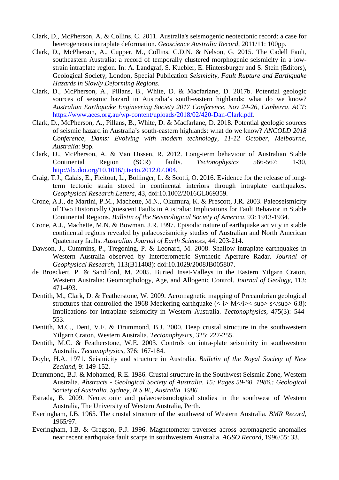- <span id="page-10-6"></span>Clark, D., McPherson, A. & Collins, C. 2011. Australia's seismogenic neotectonic record: a case for heterogeneous intraplate deformation. *Geoscience Australia Record*, 2011/11: 100pp.
- <span id="page-10-3"></span>Clark, D., McPherson, A., Cupper, M., Collins, C.D.N. & Nelson, G. 2015. The Cadell Fault, southeastern Australia: a record of temporally clustered morphogenic seismicity in a lowstrain intraplate region. In: A. Landgraf, S. Kuebler, E. Hintersburger and S. Stein (Editors), Geological Society, London, Special Publication *Seismicity, Fault Rupture and Earthquake Hazards in Slowly Deforming Regions*.
- <span id="page-10-4"></span>Clark, D., McPherson, A., Pillans, B., White, D. & Macfarlane, D. 2017b. Potential geologic sources of seismic hazard in Australia's south-eastern highlands: what do we know? *Australian Earthquake Engineering Society 2017 Conference, Nov 24-26, Canberra, ACT*: [https://www.aees.org.au/wp-content/uploads/2018/02/420-Dan-Clark.pdf.](https://www.aees.org.au/wp-content/uploads/2018/02/420-Dan-Clark.pdf)
- <span id="page-10-14"></span>Clark, D., McPherson, A., Pillans, B., White, D. & Macfarlane, D. 2018. Potential geologic sources of seismic hazard in Australia's south-eastern highlands: what do we know? *ANCOLD 2018 Conference, Dams: Evolving with modern technology, 11-12 October, Melbourne, Australia*: 9pp.
- <span id="page-10-2"></span>Clark, D., McPherson, A. & Van Dissen, R. 2012. Long-term behaviour of Australian Stable Continental Region (SCR) faults. *Tectonophysics* 566-567: 1-30, [http://dx.doi.org/10.1016/j.tecto.2012.07.004.](http://dx.doi.org/10.1016/j.tecto.2012.07.004)
- <span id="page-10-15"></span>Craig, T.J., Calais, E., Fleitout, L., Bollinger, L. & Scotti, O. 2016. Evidence for the release of longterm tectonic strain stored in continental interiors through intraplate earthquakes. *Geophysical Research Letters*, 43, doi:10.1002/2016GL069359.
- <span id="page-10-1"></span>Crone, A.J., de Martini, P.M., Machette, M.N., Okumura, K. & Prescott, J.R. 2003. Paleoseismicity of Two Historically Quiescent Faults in Australia: Implications for Fault Behavior in Stable Continental Regions. *Bulletin of the Seismological Society of America*, 93: 1913-1934.
- <span id="page-10-0"></span>Crone, A.J., Machette, M.N. & Bowman, J.R. 1997. Episodic nature of earthquake activity in stable continental regions revealed by palaeoseismicity studies of Australian and North American Quaternary faults. *Australian Journal of Earth Sciences*, 44: 203-214.
- <span id="page-10-5"></span>Dawson, J., Cummins, P., Tregoning, P. & Leonard, M. 2008. Shallow intraplate earthquakes in Western Australia observed by Interferometric Synthetic Aperture Radar. *Journal of Geophysical Research*, 113(B11408): doi:10.1029/2008JB005807.
- <span id="page-10-16"></span>de Broeckert, P. & Sandiford, M. 2005. Buried Inset-Valleys in the Eastern Yilgarn Craton, Western Australia: Geomorphology, Age, and Allogenic Control. *Journal of Geology*, 113: 471-493.
- <span id="page-10-7"></span>Dentith, M., Clark, D. & Featherstone, W. 2009. Aeromagnetic mapping of Precambrian geological structures that controlled the 1968 Meckering earthquake  $\langle \langle i \rangle M \langle i \rangle \langle \langle s \rangle \langle s \rangle \langle s \rangle \langle s \rangle$  6.8): Implications for intraplate seismicity in Western Australia. *Tectonophysics*, 475(3): 544- 553.
- <span id="page-10-11"></span>Dentith, M.C., Dent, V.F. & Drummond, B.J. 2000. Deep crustal structure in the southwestern Yilgarn Craton, Western Australia. *Tectonophysics*, 325: 227-255.
- <span id="page-10-13"></span>Dentith, M.C. & Featherstone, W.E. 2003. Controls on intra-plate seismicity in southwestern Australia. *Tectonophysics*, 376: 167-184.
- <span id="page-10-17"></span>Doyle, H.A. 1971. Seismicity and structure in Australia. *Bulletin of the Royal Society of New Zealand*, 9: 149-152.
- <span id="page-10-10"></span>Drummond, B.J. & Mohamed, R.E. 1986. Crustal structure in the Southwest Seismic Zone, Western Australia. *Abstracts - Geological Society of Australia. 15; Pages 59-60. 1986.: Geological Society of Australia. Sydney, N.S.W., Australia. 1986.*
- <span id="page-10-8"></span>Estrada, B. 2009. Neotectonic and palaeoseismological studies in the southwest of Western Australia, The University of Western Australia, Perth.
- <span id="page-10-9"></span>Everingham, I.B. 1965. The crustal structure of the southwest of Western Australia. *BMR Record*, 1965/97.
- <span id="page-10-12"></span>Everingham, I.B. & Gregson, P.J. 1996. Magnetometer traverses across aeromagnetic anomalies near recent earthquake fault scarps in southwestern Australia. *AGSO Record*, 1996/55: 33.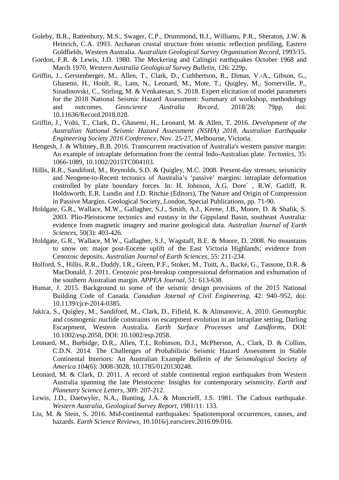- <span id="page-11-6"></span>Goleby, B.R., Rattenbury, M.S., Swager, C.P., Drummond, B.J., Williams, P.R., Sheraton, J.W. & Heinrich, C.A. 1993. Archaean crustal structure from seismic reflection profiling, Eastern Goldfields, Western Australia. *Australian Geological Survey Organisation Record*, 1993/15.
- <span id="page-11-0"></span>Gordon, F.R. & Lewis, J.D. 1980. The Meckering and Calingiri earthquakes October 1968 and March 1970. *Western Australia Geological Survey Bulletin*, 126: 229p.
- <span id="page-11-2"></span>Griffin, J., Gerstenberger, M., Allen, T., Clark, D., Cuthbertson, R., Dimas, V.-A., Gibson, G., Ghasemi, H., Hoult, R., Lam, N., Leonard, M., Mote, T., Quigley, M., Somerville, P., Sinadinovski, C., Stirling, M. & Venkatesan, S. 2018. Expert elicitation of model parameters for the 2018 National Seismic Hazard Assessment: Summary of workshop, methodology and outcomes. *Geoscience Australia Record*, 2018/28: 79pp, doi: 10.11636/Record.2018.028.
- <span id="page-11-1"></span>Griffin, J., Volti, T., Clark, D., Ghasemi, H., Leonard, M. & Allen, T. 2016. *Development of the Australian National Seismic Hazard Assessment (NSHA) 2018*, *Australian Earthquake Engineering Society 2016 Conference*, Nov. 25-27, Melbourne, Victoria.
- <span id="page-11-10"></span>Hengesh, J. & Whitney, B.B. 2016. Transcurrent reactivation of Australia's western passive margin: An example of intraplate deformation from the central Indo-Australian plate. *Tectonics*, 35: 1066-1089, 10.1002/2015TC004103.
- <span id="page-11-4"></span>Hillis, R.R., Sandiford, M., Reynolds, S.D. & Quigley, M.C. 2008. Present-day stresses, seismicity and Neogene-to-Recent tectonics of Australia's 'passive' margins: intraplate deformation controlled by plate boundary forces. In: H. Johnson, A.G. Dore´ , R.W. Gatliff, R. Holdsworth, E.R. Lundin and J.D. Ritchie (Editors), The Nature and Origin of Compression in Passive Margins. Geological Society, London, Special Publications, pp. 71-90.
- <span id="page-11-7"></span>Holdgate, G.R., Wallace, M.W., Gallagher, S.J., Smith, A.J., Keene, J.B., Moore, D. & Shafik, S. 2003. Plio-Pleistocene tectonics and eustasy in the Gippsland Basin, southeast Australia: evidence from magnetic imagery and marine geological data. *Australian Journal of Earth Sciences*, 50(3): 403-426.
- <span id="page-11-8"></span>Holdgate, G.R., Wallace, M.W., Gallagher, S.J., Wagstaff, B.E. & Moore, D. 2008. No mountains to snow on: major post-Eocene uplift of the East Victoria Highlands; evidence from Cenozoic deposits. *Australian Journal of Earth Sciences*, 55: 211-234.
- <span id="page-11-9"></span>Holford, S., Hillis, R.R., Duddy, I.R., Green, P.F., Stoker, M., Tuitt, A., Backé, G., Tassone, D.R. & MacDonald, J. 2011. Cenozoic post-breakup compressional deformation and exhumation of the southern Australian margin. *APPEA Journal*, 51: 613-638.
- <span id="page-11-14"></span>Humar, J. 2015. Background to some of the seismic design provisions of the 2015 National Building Code of Canada. *Canadian Journal of Civil Engineering*, 42: 940–952, doi: 10.1139/cjce-2014-0385.
- <span id="page-11-11"></span>Jakica, S., Quigley, M., Sandiford, M., Clark, D., Fifield, K. & Alimanovic, A. 2010. Geomorphic and cosmogenic nuclide constraints on escarpment evolution in an intraplate setting, Darling Escarpment, Western Australia. *Earth Surface Processes and Landforms*, DOI: 10.1002/esp.2058, DOI: 10.1002/esp.2058.
- <span id="page-11-3"></span>Leonard, M., Burbidge, D.R., Allen, T.I., Robinson, D.J., McPherson, A., Clark, D. & Collins, C.D.N. 2014. The Challenges of Probabilistic Seismic Hazard Assessment in Stable Continental Interiors: An Australian Example *Bulletin of the Seismological Society of America* 104(6): 3008-3028, 10.1785/0120130248.
- <span id="page-11-12"></span>Leonard, M. & Clark, D. 2011. A record of stable continental region earthquakes from Western Australia spanning the late Pleistocene: Insights for contemporary seismicity. *Earth and Planetary Science Letters*, 309: 207-212.
- <span id="page-11-5"></span>Lewis, J.D., Daetwyler, N.A., Bunting, J.A. & Moncrieff, J.S. 1981. The Cadoux earthquake. *Western Australia, Geological Survey Report*, 1981/11: 133.
- <span id="page-11-13"></span>Liu, M. & Stein, S. 2016. Mid-continental earthquakes: Spatiotemporal occurrences, causes, and hazards. *Earth Science Reviews*, 10.1016/j.earscirev.2016.09.016.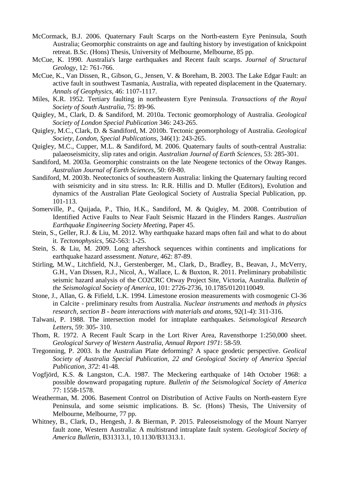- <span id="page-12-10"></span>McCormack, B.J. 2006. Quaternary Fault Scarps on the North-eastern Eyre Peninsula, South Australia; Geomorphic constraints on age and faulting history by investigation of knickpoint retreat. B.Sc. (Hons) Thesis, University of Melbourne, Melbourne, 85 pp.
- <span id="page-12-2"></span>McCue, K. 1990. Australia's large earthquakes and Recent fault scarps. *Journal of Structural Geology*, 12: 761-766.
- <span id="page-12-3"></span>McCue, K., Van Dissen, R., Gibson, G., Jensen, V. & Boreham, B. 2003. The Lake Edgar Fault: an active fault in southwest Tasmania, Australia, with repeated displacement in the Quaternary. *Annals of Geophysics*, 46: 1107-1117.
- <span id="page-12-9"></span>Miles, K.R. 1952. Tertiary faulting in northeastern Eyre Peninsula. *Transactions of the Royal Society of South Australia*, 75: 89-96.
- <span id="page-12-5"></span>Quigley, M., Clark, D. & Sandiford, M. 2010a. Tectonic geomorphology of Australia. *Geological Society of London Special Publication* 346: 243-265.
- <span id="page-12-16"></span>Quigley, M.C., Clark, D. & Sandiford, M. 2010b. Tectonic geomorphology of Australia. *Geological Society, London, Special Publications*, 346(1): 243-265.
- <span id="page-12-13"></span>Quigley, M.C., Cupper, M.L. & Sandiford, M. 2006. Quaternary faults of south-central Australia: palaeoseismicity, slip rates and origin. *Australian Journal of Earth Sciences*, 53: 285-301.
- <span id="page-12-12"></span>Sandiford, M. 2003a. Geomorphic constraints on the late Neogene tectonics of the Otway Ranges. *Australian Journal of Earth Sciences*, 50: 69-80.
- <span id="page-12-4"></span>Sandiford, M. 2003b. Neotectonics of southeastern Australia: linking the Quaternary faulting record with seismicity and in situ stress. In: R.R. Hillis and D. Muller (Editors), Evolution and dynamics of the Australian Plate Geological Society of Australia Special Publication, pp. 101-113.
- <span id="page-12-6"></span>Somerville, P., Quijada, P., Thio, H.K., Sandiford, M. & Quigley, M. 2008. Contribution of Identified Active Faults to Near Fault Seismic Hazard in the Flinders Ranges. *Australian Earthquake Engineering Society Meeting*, Paper 45.
- <span id="page-12-19"></span>Stein, S., Geller, R.J. & Liu, M. 2012. Why earthquake hazard maps often fail and what to do about it. *Tectonophysics*, 562-563: 1-25.
- <span id="page-12-18"></span>Stein, S. & Liu, M. 2009. Long aftershock sequences within continents and implications for earthquake hazard assessment. *Nature*, 462: 87-89.
- <span id="page-12-7"></span>Stirling, M.W., Litchfield, N.J., Gerstenberger, M., Clark, D., Bradley, B., Beavan, J., McVerry, G.H., Van Dissen, R.J., Nicol, A., Wallace, L. & Buxton, R. 2011. Preliminary probabilistic seismic hazard analysis of the CO2CRC Otway Project Site, Victoria, Australia. *Bulletin of the Seismological Society of America*, 101: 2726-2736, 10.1785/0120110049.
- <span id="page-12-14"></span>Stone, J., Allan, G. & Fifield, L.K. 1994. Limestone erosion measurements with cosmogenic Cl-36 in Calcite - preliminary results from Australia. *Nuclear instruments and methods in physics research, section B - beam interactions with materials and atoms*, 92(1-4): 311-316.
- <span id="page-12-8"></span>Talwani, P. 1988. The intersection model for intraplate earthquakes. *Seismological Research Letters*, 59: 305- 310.
- <span id="page-12-1"></span>Thom, R. 1972. A Recent Fault Scarp in the Lort River Area, Ravensthorpe 1:250,000 sheet. *Geological Survey of Western Australia, Annual Report 1971*: 58-59.
- <span id="page-12-15"></span>Tregonning, P. 2003. Is the Australian Plate deforming? A space geodetic perspective. *Geolical Society of Australia Special Publication, 22 and Geological Society of America Special Publication, 372*: 41-48.
- <span id="page-12-0"></span>Vogfjörd, K.S. & Langston, C.A. 1987. The Meckering earthquake of 14th October 1968: a possible downward propagating rupture. *Bulletin of the Seismological Society of America*  77: 1558-1578.
- <span id="page-12-11"></span>Weatherman, M. 2006. Basement Control on Distribution of Active Faults on North-eastern Eyre Peninsula, and some seismic implications. B. Sc. (Hons) Thesis, The University of Melbourne, Melbourne, 77 pp.
- <span id="page-12-17"></span>Whitney, B., Clark, D., Hengesh, J. & Bierman, P. 2015. Paleoseismology of the Mount Narryer fault zone, Western Australia: A multistrand intraplate fault system. *Geological Society of America Bulletin*, B31313.1, 10.1130/B31313.1.